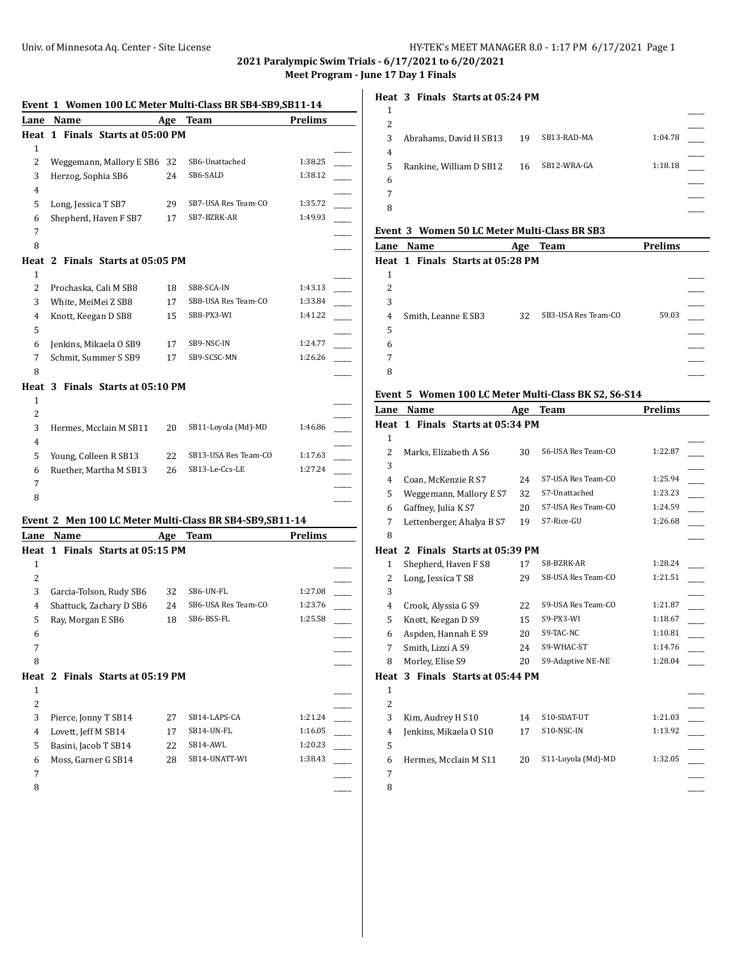**2021 Paralympic Swim Trials - 6/17/2021 to 6/20/2021 Meet Program - June 17 Day 1 Finals**

#### **Event 1 Women 100 LC Meter Multi-Class BR SB4-SB9,SB11-14**

| Буснг т        | Lane Name                                                |    | WOMEN TOO LG METEL MULT-GLASS DIN SD4-SD7,SD11-14<br>Age Team | Prelims        |  |
|----------------|----------------------------------------------------------|----|---------------------------------------------------------------|----------------|--|
|                | Heat 1 Finals Starts at 05:00 PM                         |    |                                                               |                |  |
| $\mathbf{1}$   |                                                          |    |                                                               |                |  |
| 2              | Weggemann, Mallory E SB6 32                              |    | SB6-Unattached                                                | 1:38.25        |  |
| 3              | Herzog, Sophia SB6                                       | 24 | SB6-SALD                                                      | 1:38.12        |  |
| $\overline{4}$ |                                                          |    |                                                               |                |  |
| 5              | Long, Jessica T SB7                                      | 29 | SB7-USA Res Team-CO                                           | 1:35.72        |  |
| 6              | Shepherd, Haven F SB7                                    | 17 | SB7-BZRK-AR                                                   | 1:49.93        |  |
| 7              |                                                          |    |                                                               |                |  |
| 8              |                                                          |    |                                                               |                |  |
|                | Heat 2 Finals Starts at 05:05 PM                         |    |                                                               |                |  |
| 1              |                                                          |    |                                                               |                |  |
| $\overline{2}$ | Prochaska, Cali M SB8                                    | 18 | SB8-SCA-IN                                                    | 1:43.13        |  |
| 3              | White, MeiMei Z SB8                                      | 17 | SB8-USA Res Team-CO                                           | 1:33.84        |  |
| 4              | Knott, Keegan D SB8                                      | 15 | SB8-PX3-WI                                                    | 1:41.22        |  |
| 5              |                                                          |    |                                                               |                |  |
| 6              | Jenkins, Mikaela O SB9                                   | 17 | SB9-NSC-IN                                                    | 1:24.77        |  |
| 7              | Schmit, Summer S SB9                                     | 17 | SB9-SCSC-MN                                                   | 1:26.26        |  |
| 8              |                                                          |    |                                                               |                |  |
| 1              | Heat 3 Finals Starts at 05:10 PM                         |    |                                                               |                |  |
| 2              |                                                          |    |                                                               |                |  |
| 3              | Hermes, Mcclain M SB11                                   | 20 | SB11-Loyola (Md)-MD                                           | 1:46.86        |  |
| 4              |                                                          |    |                                                               |                |  |
| 5              | Young, Colleen R SB13                                    | 22 | SB13-USA Res Team-CO                                          | 1:17.63        |  |
| 6              | Ruether, Martha M SB13                                   | 26 | SB13-Le-Ccs-LE                                                | 1:27.24        |  |
| 7              |                                                          |    |                                                               |                |  |
| 8              |                                                          |    |                                                               |                |  |
|                |                                                          |    |                                                               |                |  |
|                | Event 2 Men 100 LC Meter Multi-Class BR SB4-SB9, SB11-14 |    |                                                               |                |  |
|                | Lane Name                                                |    | Age Team                                                      | <b>Prelims</b> |  |
| Heat           | 1 Finals Starts at 05:15 PM                              |    |                                                               |                |  |
| 1              |                                                          |    |                                                               |                |  |
| 2              |                                                          |    |                                                               |                |  |
| 3              | Garcia-Tolson, Rudy SB6                                  | 32 | SB6-UN-FL                                                     | 1:27.08        |  |
| $\overline{4}$ | Shattuck, Zachary D SB6                                  | 24 | SB6-USA Res Team-CO<br>SB6-BSS-FL                             | 1:23.76        |  |
| 5              | Ray, Morgan E SB6                                        | 18 |                                                               | 1:25.58        |  |
| 6<br>7         |                                                          |    |                                                               |                |  |
| 8              |                                                          |    |                                                               |                |  |
|                | Heat 2 Finals Starts at 05:19 PM                         |    |                                                               |                |  |
| 1              |                                                          |    |                                                               |                |  |
| 2              |                                                          |    |                                                               |                |  |
| 3              | Pierce, Jonny T SB14                                     | 27 | SB14-LAPS-CA                                                  | 1:21.24        |  |
| $\overline{4}$ | Lovett, Jeff M SB14                                      | 17 | SB14-UN-FL                                                    | 1:16.05        |  |
| 5              | Basini, Jacob T SB14                                     | 22 | SB14-AWL                                                      | 1:20.23        |  |
| 6              | Moss, Garner G SB14                                      | 28 | SB14-UNATT-WI                                                 | 1:38.43        |  |
| 7              |                                                          |    |                                                               |                |  |
| 8              |                                                          |    |                                                               |                |  |
|                |                                                          |    |                                                               |                |  |

## **Heat 3 Finals Starts at 05:24 PM**

| 3 | Abrahams, David H SB13  | 19 | SB13-RAD-MA | 1:04.78 |  |
|---|-------------------------|----|-------------|---------|--|
| 4 |                         |    |             |         |  |
| 5 | Rankine, William D SB12 | 16 | SB12-WRA-GA | 1:18.18 |  |
| 6 |                         |    |             |         |  |
|   |                         |    |             |         |  |
| 8 |                         |    |             |         |  |

## **Event 3 Women 50 LC Meter Multi-Class BR SB3**

| Lane Name |  |                                  | Age | <b>Team</b>         | <b>Prelims</b> |  |
|-----------|--|----------------------------------|-----|---------------------|----------------|--|
|           |  | Heat 1 Finals Starts at 05:28 PM |     |                     |                |  |
| 1         |  |                                  |     |                     |                |  |
| 2         |  |                                  |     |                     |                |  |
| 3         |  |                                  |     |                     |                |  |
| 4         |  | Smith, Leanne E SB3              | 32  | SB3-USA Res Team-CO | 59.03          |  |
| 5         |  |                                  |     |                     |                |  |
| 6         |  |                                  |     |                     |                |  |
| 7         |  |                                  |     |                     |                |  |
| 8         |  |                                  |     |                     |                |  |

# **Event 5 Women 100 LC Meter Multi-Class BK S2, S6-S14**

| Lane           | <b>Name</b>                      | Age | <b>Team</b>        | <b>Prelims</b> |
|----------------|----------------------------------|-----|--------------------|----------------|
|                | Heat 1 Finals Starts at 05:34 PM |     |                    |                |
| $\mathbf{1}$   |                                  |     |                    |                |
| $\overline{2}$ | Marks, Elizabeth A S6            | 30  | S6-USA Res Team-CO | 1:22.87        |
| 3              |                                  |     |                    |                |
| 4              | Coan, McKenzie R S7              | 24  | S7-USA Res Team-CO | 1:25.94        |
| 5              | Weggemann, Mallory E S7          | 32  | S7-Unattached      | 1:23.23        |
| 6              | Gaffney, Julia K S7              | 20  | S7-USA Res Team-CO | 1:24.59        |
| 7              | Lettenberger, Ahalya B S7        | 19  | S7-Rice-GU         | 1:26.68        |
| 8              |                                  |     |                    |                |
| Heat           | 2 Finals Starts at 05:39 PM      |     |                    |                |
| $\mathbf{1}$   | Shepherd, Haven F S8             | 17  | S8-BZRK-AR         | 1:28.24        |
| 2              | Long, Jessica T S8               | 29  | S8-USA Res Team-CO | 1:21.51        |
| 3              |                                  |     |                    |                |
| 4              | Crook, Alyssia G S9              | 22  | S9-USA Res Team-CO | 1:21.87        |
| 5              | Knott, Keegan D S9               | 15  | S9-PX3-WI          | 1:18.67        |
| 6              | Aspden, Hannah E S9              | 20  | S9-TAC-NC          | 1:10.81        |
| 7              | Smith, Lizzi A S9                | 24  | S9-WHAC-ST         | 1:14.76        |
| 8              | Morley, Elise S9                 | 20  | S9-Adaptive NE-NE  | 1:28.04        |
| Heat           | 3 Finals Starts at 05:44 PM      |     |                    |                |
| $\mathbf{1}$   |                                  |     |                    |                |
| $\overline{2}$ |                                  |     |                    |                |
| 3              | Kim, Audrey H S10                | 14  | S10-SDAT-UT        | 1:21.03        |
| 4              | Jenkins, Mikaela O S10           | 17  | S10-NSC-IN         | 1:13.92        |
| 5              |                                  |     |                    |                |
| 6              | Hermes, Mcclain M S11            | 20  | S11-Loyola (Md)-MD | 1:32.05        |
| 7              |                                  |     |                    |                |
| 8              |                                  |     |                    |                |